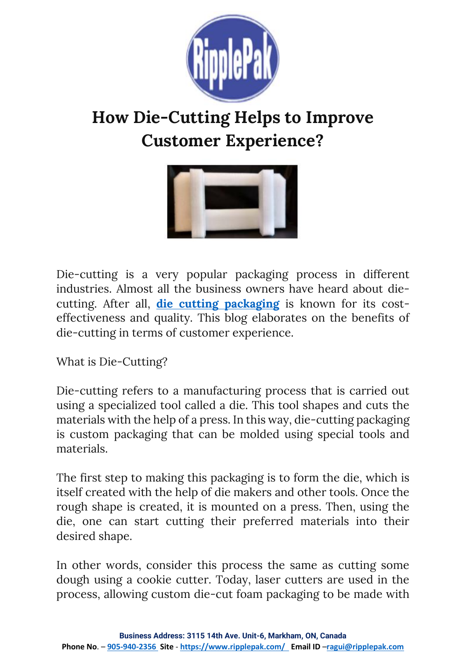

# **How Die-Cutting Helps to Improve Customer Experience?**



Die-cutting is a very popular packaging process in different industries. Almost all the business owners have heard about diecutting. After all, **die [cutting packaging](https://www.ripplepak.com/die-cut-foam-packaging/)** is known for its costeffectiveness and quality. This blog elaborates on the benefits of die-cutting in terms of customer experience.

What is Die-Cutting?

Die-cutting refers to a manufacturing process that is carried out using a specialized tool called a die. This tool shapes and cuts the materials with the help of a press. In this way, die-cutting packaging is custom packaging that can be molded using special tools and materials.

The first step to making this packaging is to form the die, which is itself created with the help of die makers and other tools. Once the rough shape is created, it is mounted on a press. Then, using the die, one can start cutting their preferred materials into their desired shape.

In other words, consider this process the same as cutting some dough using a cookie cutter. Today, laser cutters are used in the process, allowing custom die-cut foam packaging to be made with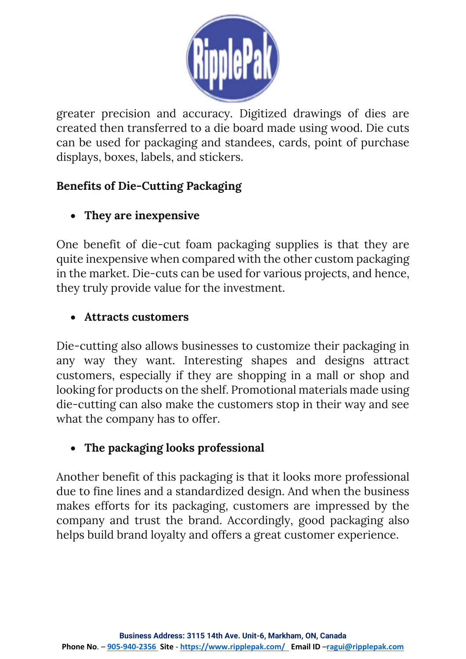

greater precision and accuracy. Digitized drawings of dies are created then transferred to a die board made using wood. Die cuts can be used for packaging and standees, cards, point of purchase displays, boxes, labels, and stickers.

## **Benefits of Die-Cutting Packaging**

## • **They are inexpensive**

One benefit of die-cut foam packaging supplies is that they are quite inexpensive when compared with the other custom packaging in the market. Die-cuts can be used for various projects, and hence, they truly provide value for the investment.

### • **Attracts customers**

Die-cutting also allows businesses to customize their packaging in any way they want. Interesting shapes and designs attract customers, especially if they are shopping in a mall or shop and looking for products on the shelf. Promotional materials made using die-cutting can also make the customers stop in their way and see what the company has to offer.

## • **The packaging looks professional**

Another benefit of this packaging is that it looks more professional due to fine lines and a standardized design. And when the business makes efforts for its packaging, customers are impressed by the company and trust the brand. Accordingly, good packaging also helps build brand loyalty and offers a great customer experience.